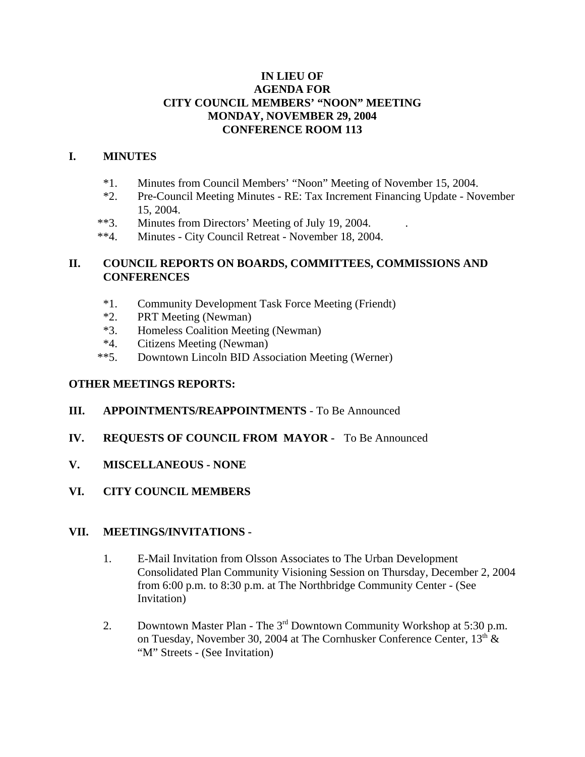#### **IN LIEU OF AGENDA FOR CITY COUNCIL MEMBERS' "NOON" MEETING MONDAY, NOVEMBER 29, 2004 CONFERENCE ROOM 113**

### **I. MINUTES**

- \*1. Minutes from Council Members' "Noon" Meeting of November 15, 2004.
- \*2. Pre-Council Meeting Minutes RE: Tax Increment Financing Update November 15, 2004.
- \*\*3. Minutes from Directors' Meeting of July 19, 2004.
- \*\*4. Minutes City Council Retreat November 18, 2004.

## **II. COUNCIL REPORTS ON BOARDS, COMMITTEES, COMMISSIONS AND CONFERENCES**

- \*1. Community Development Task Force Meeting (Friendt)
- \*2. PRT Meeting (Newman)
- \*3. Homeless Coalition Meeting (Newman)
- \*4. Citizens Meeting (Newman)
- \*\*5. Downtown Lincoln BID Association Meeting (Werner)

#### **OTHER MEETINGS REPORTS:**

- **III. APPOINTMENTS/REAPPOINTMENTS** To Be Announced
- **IV. REQUESTS OF COUNCIL FROM MAYOR** To Be Announced
- **V. MISCELLANEOUS NONE**
- **VI. CITY COUNCIL MEMBERS**

#### **VII. MEETINGS/INVITATIONS -**

- 1. E-Mail Invitation from Olsson Associates to The Urban Development Consolidated Plan Community Visioning Session on Thursday, December 2, 2004 from 6:00 p.m. to 8:30 p.m. at The Northbridge Community Center - (See Invitation)
- 2. Downtown Master Plan The 3<sup>rd</sup> Downtown Community Workshop at 5:30 p.m. on Tuesday, November 30, 2004 at The Cornhusker Conference Center,  $13<sup>th</sup>$  & "M" Streets - (See Invitation)